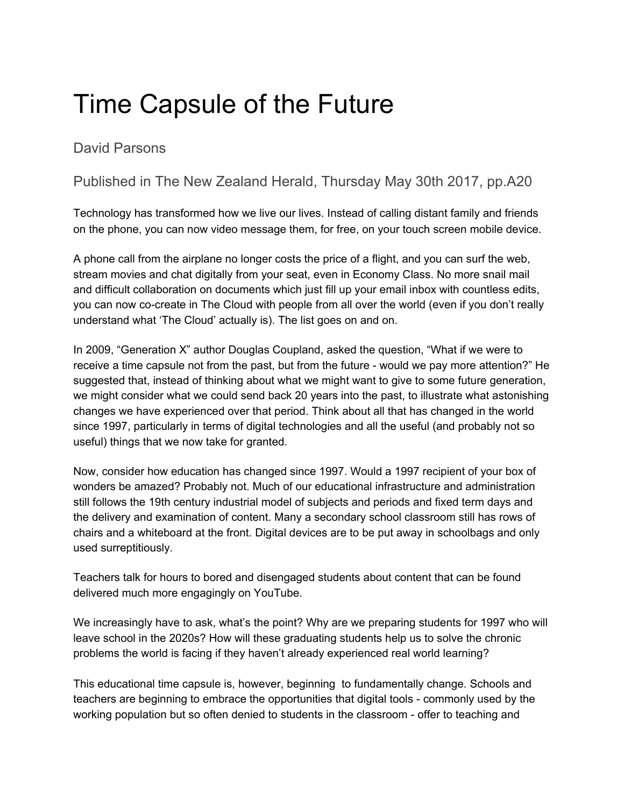## Time Capsule of the Future

David Parsons

## Published in The New Zealand Herald, Thursday May 30th 2017, pp.A20

Technology has transformed how we live our lives. Instead of calling distant family and friends on the phone, you can now video message them, for free, on your touch screen mobile device.

A phone call from the airplane no longer costs the price of a flight, and you can surf the web, stream movies and chat digitally from your seat, even in Economy Class. No more snail mail and difficult collaboration on documents which just fill up your email inbox with countless edits, you can now co-create in The Cloud with people from all over the world (even if you don't really understand what 'The Cloud' actually is). The list goes on and on.

In 2009, "Generation X" author Douglas Coupland, asked the question, "What if we were to receive a time capsule not from the past, but from the future - would we pay more attention?" He suggested that, instead of thinking about what we might want to give to some future generation, we might consider what we could send back 20 years into the past, to illustrate what astonishing changes we have experienced over that period. Think about all that has changed in the world since 1997, particularly in terms of digital technologies and all the useful (and probably not so useful) things that we now take for granted.

Now, consider how education has changed since 1997. Would a 1997 recipient of your box of wonders be amazed? Probably not. Much of our educational infrastructure and administration still follows the 19th century industrial model of subjects and periods and fixed term days and the delivery and examination of content. Many a secondary school classroom still has rows of chairs and a whiteboard at the front. Digital devices are to be put away in schoolbags and only used surreptitiously.

Teachers talk for hours to bored and disengaged students about content that can be found delivered much more engagingly on YouTube.

We increasingly have to ask, what's the point? Why are we preparing students for 1997 who will leave school in the 2020s? How will these graduating students help us to solve the chronic problems the world is facing if they haven't already experienced real world learning?

This educational time capsule is, however, beginning to fundamentally change. Schools and teachers are beginning to embrace the opportunities that digital tools - commonly used by the working population but so often denied to students in the classroom - offer to teaching and